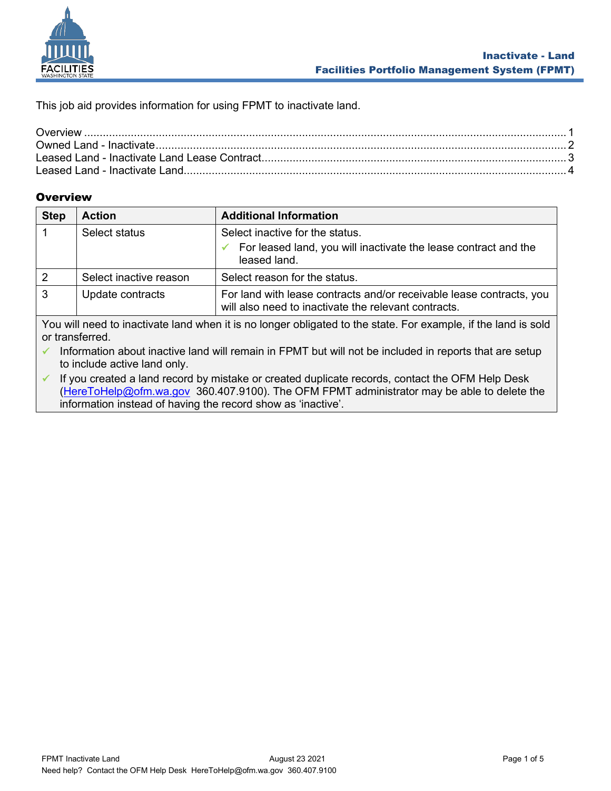

This job aid provides information for using FPMT to inactivate land.

## <span id="page-0-0"></span>**Overview**

| <b>Step</b> | <b>Action</b>                                                                                                                                                                                                                              | <b>Additional Information</b>                                                                                                |  |  |
|-------------|--------------------------------------------------------------------------------------------------------------------------------------------------------------------------------------------------------------------------------------------|------------------------------------------------------------------------------------------------------------------------------|--|--|
|             | Select status                                                                                                                                                                                                                              | Select inactive for the status.<br>For leased land, you will inactivate the lease contract and the<br>leased land.           |  |  |
| 2           | Select inactive reason                                                                                                                                                                                                                     | Select reason for the status.                                                                                                |  |  |
| 3           | Update contracts                                                                                                                                                                                                                           | For land with lease contracts and/or receivable lease contracts, you<br>will also need to inactivate the relevant contracts. |  |  |
|             | $\overline{\phantom{a}}$ . We use the contract that the contract is a long set of the state of the complete the length of the longituding set of the state of the state of the state of the state of the state of the state of the state o |                                                                                                                              |  |  |

You will need to inactivate land when it is no longer obligated to the state. For example, if the land is sold or transferred.

✓ Information about inactive land will remain in FPMT but will not be included in reports that are setup to include active land only.

✓ If you created a land record by mistake or created duplicate records, contact the OFM Help Desk [\(HereToHelp@ofm.wa.gov](mailto:HereToHelp@ofm.wa.gov) 360.407.9100). The OFM FPMT administrator may be able to delete the information instead of having the record show as 'inactive'.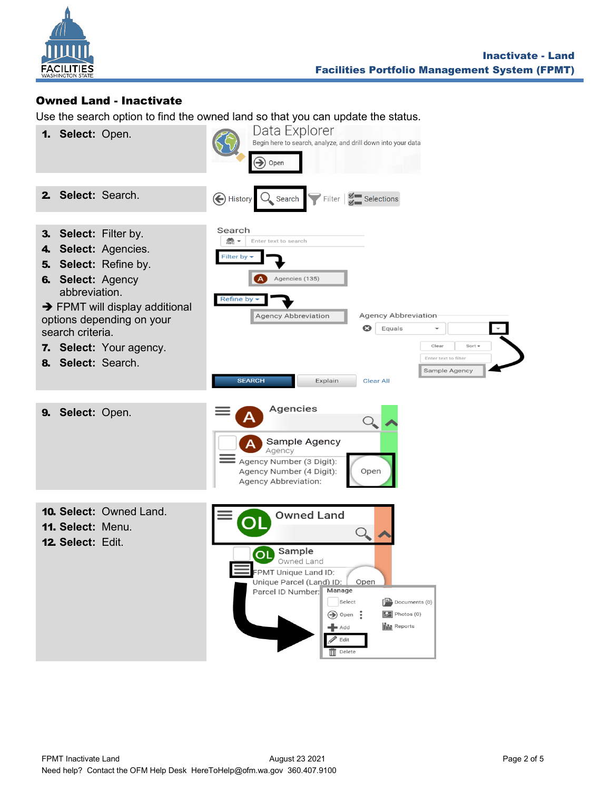

## <span id="page-1-0"></span>Owned Land - Inactivate

Use the search option to find the owned land so that you can update the status.

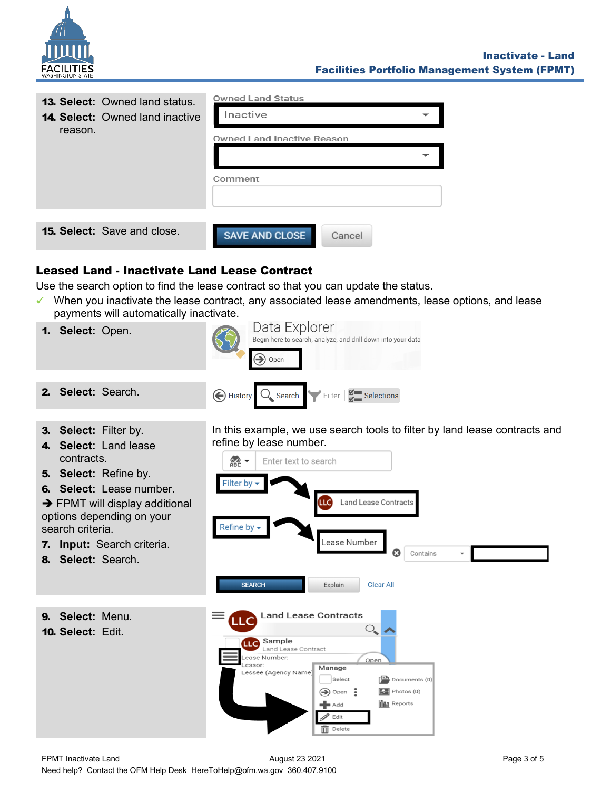

| <b>13. Select:</b> Owned land status.<br><b>14. Select:</b> Owned land inactive<br>reason. | <b>Owned Land Status</b><br>Inactive<br><b>Owned Land Inactive Reason</b> |
|--------------------------------------------------------------------------------------------|---------------------------------------------------------------------------|
|                                                                                            | Comment                                                                   |
| <b>15. Select:</b> Save and close.                                                         | <b>SAVE AND CLOSE</b><br>Cancel                                           |

## <span id="page-2-0"></span>Leased Land - Inactivate Land Lease Contract

Use the search option to find the lease contract so that you can update the status.

✓ When you inactivate the lease contract, any associated lease amendments, lease options, and lease payments will automatically inactivate.

**Land Lease Contracts** 

Manage

 $\blacksquare$  Add Edit  $\overline{\widehat{\mathbf{m}}}$  Delete

Select

 $\bigcirc$  Open :

Sample

Lessee (Agency Name

Lease Number:

Land Lease Contract

**LLC** 

Lessor:

- Data Explorer 1. **Select:** Open. Begin here to search, analyze, and drill down into your data  $\rightarrow$  Open 2. **Select:** Search. A History  $Q_{\bullet}$  Search  $\triangledown$  Filter  $\vert \xi \vert$  Selections
- 3. **Select:** Filter by.
- 4. **Select:** Land lease contracts.
- 5. **Select:** Refine by.
- 6. **Select:** Lease number.
- $\rightarrow$  FPMT will display additional options depending on your search criteria.
- 7. **Input:** Search criteria.
- 8. **Select:** Search.

In this example, we use search tools to filter by land lease contracts and refine by lease number.



Open

 $\sqrt{\frac{1}{1-\lambda}}$  Documents (0)  $\boxed{2}$  Photos (0)

**Ilili** Reports

9. **Select:** Menu.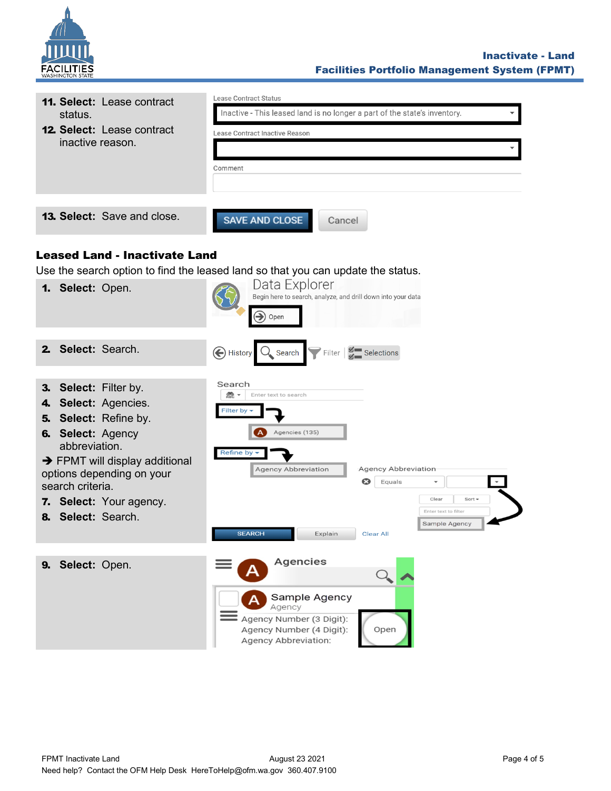

<span id="page-3-0"></span>

| 11. Select: Lease contract                                              | <b>Lease Contract Status</b>                                                     |
|-------------------------------------------------------------------------|----------------------------------------------------------------------------------|
| status.                                                                 | Inactive - This leased land is no longer a part of the state's inventory.        |
| <b>12. Select: Lease contract</b>                                       | Lease Contract Inactive Reason                                                   |
| inactive reason.                                                        |                                                                                  |
|                                                                         | Comment                                                                          |
|                                                                         |                                                                                  |
|                                                                         |                                                                                  |
| <b>13. Select:</b> Save and close.                                      | <b>SAVE AND CLOSE</b><br>Cancel                                                  |
|                                                                         |                                                                                  |
| <b>Leased Land - Inactivate Land</b>                                    |                                                                                  |
|                                                                         | Use the search option to find the leased land so that you can update the status. |
| 1. Select: Open.                                                        | Data Explorer<br>Begin here to search, analyze, and drill down into your data    |
|                                                                         | $\textcolor{blue}{\blacktriangleright}$                                          |
|                                                                         | Open                                                                             |
| Select: Search.<br>2.                                                   |                                                                                  |
|                                                                         | Filter $\frac{3}{5}$ Selections<br>History Q Search                              |
| <b>Select: Filter by.</b>                                               | Search                                                                           |
| 3.<br>4. Select: Agencies.                                              | 益 -<br>Enter text to search                                                      |
| 5. Select: Refine by.                                                   | <b>Filter by</b>                                                                 |
| <b>6. Select: Agency</b>                                                | Agencies (135)                                                                   |
| abbreviation.                                                           | Refine by                                                                        |
| $\rightarrow$ FPMT will display additional<br>options depending on your | <b>Agency Abbreviation</b><br><b>Agency Abbreviation</b>                         |
| search criteria.                                                        | Equals                                                                           |
| 7. Select: Your agency.                                                 | Clear<br>Sort $\sim$                                                             |
| Select: Search.<br>8.                                                   | Enter text to filter<br>Sample Agency                                            |
|                                                                         | <b>SEARCH</b><br>Explain Clear All                                               |
|                                                                         | Agencies                                                                         |
| Select: Open.<br>9.                                                     |                                                                                  |
|                                                                         | Sample Agency                                                                    |
|                                                                         | Agency                                                                           |
|                                                                         | Agency Number (3 Digit):<br>Agency Number (4 Digit):<br>Open                     |
|                                                                         | <b>Agency Abbreviation:</b>                                                      |